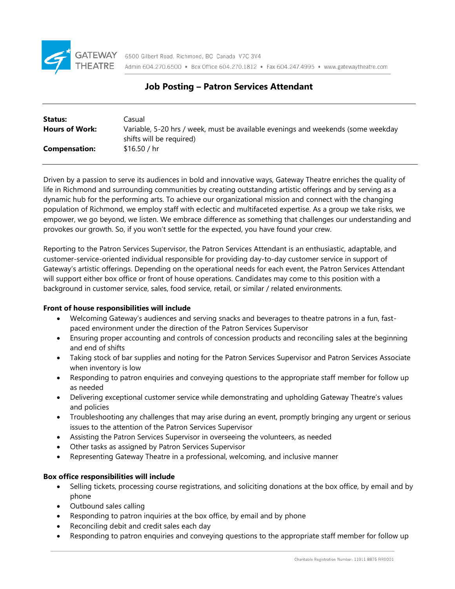

# **Job Posting – Patron Services Attendant**

| Status:               | Casual                                                                           |
|-----------------------|----------------------------------------------------------------------------------|
| <b>Hours of Work:</b> | Variable, 5-20 hrs / week, must be available evenings and weekends (some weekday |
|                       | shifts will be required)                                                         |
| <b>Compensation:</b>  | \$16.50 / hr                                                                     |
|                       |                                                                                  |

Driven by a passion to serve its audiences in bold and innovative ways, Gateway Theatre enriches the quality of life in Richmond and surrounding communities by creating outstanding artistic offerings and by serving as a dynamic hub for the performing arts. To achieve our organizational mission and connect with the changing population of Richmond, we employ staff with eclectic and multifaceted expertise. As a group we take risks, we empower, we go beyond, we listen. We embrace difference as something that challenges our understanding and provokes our growth. So, if you won't settle for the expected, you have found your crew.

Reporting to the Patron Services Supervisor, the Patron Services Attendant is an enthusiastic, adaptable, and customer-service-oriented individual responsible for providing day-to-day customer service in support of Gateway's artistic offerings. Depending on the operational needs for each event, the Patron Services Attendant will support either box office or front of house operations. Candidates may come to this position with a background in customer service, sales, food service, retail, or similar / related environments.

# **Front of house responsibilities will include**

- Welcoming Gateway's audiences and serving snacks and beverages to theatre patrons in a fun, fastpaced environment under the direction of the Patron Services Supervisor
- Ensuring proper accounting and controls of concession products and reconciling sales at the beginning and end of shifts
- Taking stock of bar supplies and noting for the Patron Services Supervisor and Patron Services Associate when inventory is low
- Responding to patron enquiries and conveying questions to the appropriate staff member for follow up as needed
- Delivering exceptional customer service while demonstrating and upholding Gateway Theatre's values and policies
- Troubleshooting any challenges that may arise during an event, promptly bringing any urgent or serious issues to the attention of the Patron Services Supervisor
- Assisting the Patron Services Supervisor in overseeing the volunteers, as needed
- Other tasks as assigned by Patron Services Supervisor
- Representing Gateway Theatre in a professional, welcoming, and inclusive manner

# **Box office responsibilities will include**

- Selling tickets, processing course registrations, and soliciting donations at the box office, by email and by phone
- Outbound sales calling
- Responding to patron inquiries at the box office, by email and by phone
- Reconciling debit and credit sales each day
- Responding to patron enquiries and conveying questions to the appropriate staff member for follow up